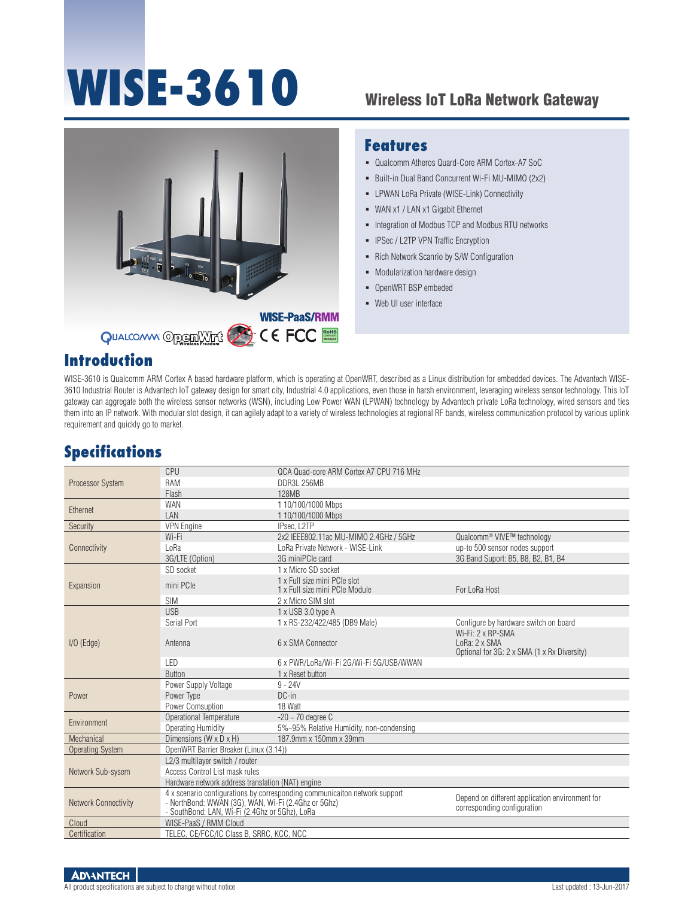# WISE-3610 Wireless IoT LoRa Network Gateway



### **Features**

- Qualcomm Atheros Quard-Core ARM Cortex-A7 SoC
- Built-in Dual Band Concurrent Wi-Fi MU-MIMO (2x2)
- LPWAN LoRa Private (WISE-Link) Connectivity
- WAN x1 / LAN x1 Gigabit Ethernet
- **Integration of Modbus TCP and Modbus RTU networks**
- **-** IPSec / L2TP VPN Traffic Encryption
- Rich Network Scanrio by S/W Configuration
- Modularization hardware design
- OpenWRT BSP embeded
- Web UI user interface

## **Introduction**

WISE-3610 is Qualcomm ARM Cortex A based hardware platform, which is operating at OpenWRT, described as a Linux distribution for embedded devices. The Advantech WISE-3610 Industrial Router is Advantech IoT gateway design for smart city, Industrial 4.0 applications, even those in harsh environment, leveraging wireless sensor technology. This IoT gateway can aggregate both the wireless sensor networks (WSN), including Low Power WAN (LPWAN) technology by Advantech private LoRa technology, wired sensors and ties them into an IP network. With modular slot design, it can agilely adapt to a variety of wireless technologies at regional RF bands, wireless communication protocol by various uplink requirement and quickly go to market.

## **Specifications**

| <b>Processor System</b>     | CPU                                                                                                                                                                                 | OCA Quad-core ARM Cortex A7 CPU 716 MHz                        |                                                                                   |  |
|-----------------------------|-------------------------------------------------------------------------------------------------------------------------------------------------------------------------------------|----------------------------------------------------------------|-----------------------------------------------------------------------------------|--|
|                             | <b>RAM</b>                                                                                                                                                                          | DDR3L 256MB                                                    |                                                                                   |  |
|                             | Flash                                                                                                                                                                               | 128MB                                                          |                                                                                   |  |
| Ethernet                    | <b>WAN</b>                                                                                                                                                                          | 1 10/100/1000 Mbps                                             |                                                                                   |  |
|                             | LAN                                                                                                                                                                                 | 1 10/100/1000 Mbps                                             |                                                                                   |  |
| Security                    | <b>VPN</b> Engine                                                                                                                                                                   | IPsec. L2TP                                                    |                                                                                   |  |
|                             | Wi-Fi                                                                                                                                                                               | 2x2 IEEE802.11ac MU-MIMO 2.4GHz / 5GHz                         | Qualcomm <sup>®</sup> VIVE™ technology                                            |  |
| Connectivity                | LoRa                                                                                                                                                                                | LoRa Private Network - WISE-Link                               | up-to 500 sensor nodes support                                                    |  |
|                             | 3G/LTE (Option)                                                                                                                                                                     | 3G miniPCle card                                               | 3G Band Suport: B5, B8, B2, B1, B4                                                |  |
|                             | SD socket                                                                                                                                                                           | 1 x Micro SD socket                                            |                                                                                   |  |
| Expansion                   | mini PCIe                                                                                                                                                                           | 1 x Full size mini PCIe slot<br>1 x Full size mini PCIe Module | For LoRa Host                                                                     |  |
|                             | <b>SIM</b>                                                                                                                                                                          | 2 x Micro SIM slot                                             |                                                                                   |  |
|                             | <b>USB</b>                                                                                                                                                                          | 1 x USB 3.0 type A                                             |                                                                                   |  |
|                             | Serial Port                                                                                                                                                                         | 1 x RS-232/422/485 (DB9 Male)                                  | Configure by hardware switch on board                                             |  |
| $I/O$ (Edge)                | Antenna                                                                                                                                                                             | 6 x SMA Connector                                              | Wi-Fi: 2 x RP-SMA<br>LoRa: 2 x SMA<br>Optional for 3G: 2 x SMA (1 x Rx Diversity) |  |
|                             | LED                                                                                                                                                                                 | 6 x PWR/LoRa/Wi-Fi 2G/Wi-Fi 5G/USB/WWAN                        |                                                                                   |  |
|                             | <b>Button</b>                                                                                                                                                                       | 1 x Reset button                                               |                                                                                   |  |
|                             | Power Supply Voltage                                                                                                                                                                | $9 - 24V$                                                      |                                                                                   |  |
| Power                       | Power Type                                                                                                                                                                          | $DC-in$                                                        |                                                                                   |  |
|                             | Power Comsuption                                                                                                                                                                    | 18 Watt                                                        |                                                                                   |  |
|                             | <b>Operational Temperature</b>                                                                                                                                                      | $-20 - 70$ degree C                                            |                                                                                   |  |
| Environment                 | <b>Operating Humidity</b>                                                                                                                                                           | 5%~95% Relative Humidity, non-condensing                       |                                                                                   |  |
| Mechanical                  | Dimensions (W x D x H)                                                                                                                                                              | 187.9mm x 150mm x 39mm                                         |                                                                                   |  |
| <b>Operating System</b>     | OpenWRT Barrier Breaker (Linux (3.14))                                                                                                                                              |                                                                |                                                                                   |  |
|                             | L2/3 multilayer switch / router                                                                                                                                                     |                                                                |                                                                                   |  |
| Network Sub-sysem           | Access Control List mask rules                                                                                                                                                      |                                                                |                                                                                   |  |
|                             | Hardware network address translation (NAT) engine                                                                                                                                   |                                                                |                                                                                   |  |
| <b>Network Connectivity</b> | 4 x scenario configurations by corresponding communicaiton network support<br>- NorthBond: WWAN (3G), WAN, Wi-Fi (2.4Ghz or 5Ghz)<br>- SouthBond: LAN, Wi-Fi (2.4Ghz or 5Ghz), LoRa |                                                                | Depend on different application environment for<br>corresponding configuration    |  |
| Cloud                       | WISE-PaaS / RMM Cloud                                                                                                                                                               |                                                                |                                                                                   |  |
| Certification               | TELEC, CE/FCC/IC Class B, SRRC, KCC, NCC                                                                                                                                            |                                                                |                                                                                   |  |